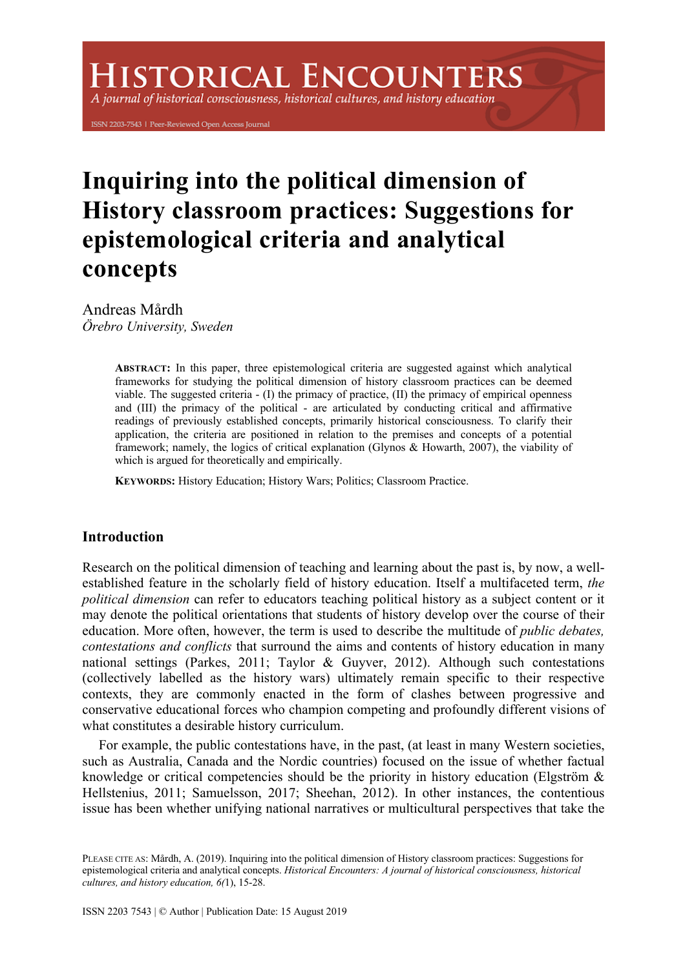# **ISTORICAL ENCOUNTERS**

A journal of historical consciousness, historical cultures, and history education

ISSN 2203-7543 | Peer-Reviewed Open Access Journal

# **Inquiring into the political dimension of History classroom practices: Suggestions for epistemological criteria and analytical concepts**

Andreas Mårdh *Örebro University, Sweden*

> **ABSTRACT:** In this paper, three epistemological criteria are suggested against which analytical frameworks for studying the political dimension of history classroom practices can be deemed viable. The suggested criteria - (I) the primacy of practice, (II) the primacy of empirical openness and (III) the primacy of the political - are articulated by conducting critical and affirmative readings of previously established concepts, primarily historical consciousness. To clarify their application, the criteria are positioned in relation to the premises and concepts of a potential framework; namely, the logics of critical explanation (Glynos & Howarth, 2007), the viability of which is argued for theoretically and empirically.

**KEYWORDS:** History Education; History Wars; Politics; Classroom Practice.

# **Introduction**

Research on the political dimension of teaching and learning about the past is, by now, a wellestablished feature in the scholarly field of history education. Itself a multifaceted term, *the political dimension* can refer to educators teaching political history as a subject content or it may denote the political orientations that students of history develop over the course of their education. More often, however, the term is used to describe the multitude of *public debates, contestations and conflicts* that surround the aims and contents of history education in many national settings (Parkes, 2011; Taylor & Guyver, 2012). Although such contestations (collectively labelled as the history wars) ultimately remain specific to their respective contexts, they are commonly enacted in the form of clashes between progressive and conservative educational forces who champion competing and profoundly different visions of what constitutes a desirable history curriculum.

For example, the public contestations have, in the past, (at least in many Western societies, such as Australia, Canada and the Nordic countries) focused on the issue of whether factual knowledge or critical competencies should be the priority in history education (Elgström & Hellstenius, 2011; Samuelsson, 2017; Sheehan, 2012). In other instances, the contentious issue has been whether unifying national narratives or multicultural perspectives that take the

PLEASE CITE AS: Mårdh, A. (2019). Inquiring into the political dimension of History classroom practices: Suggestions for epistemological criteria and analytical concepts. *Historical Encounters: A journal of historical consciousness, historical cultures, and history education, 6(*1), 15-28.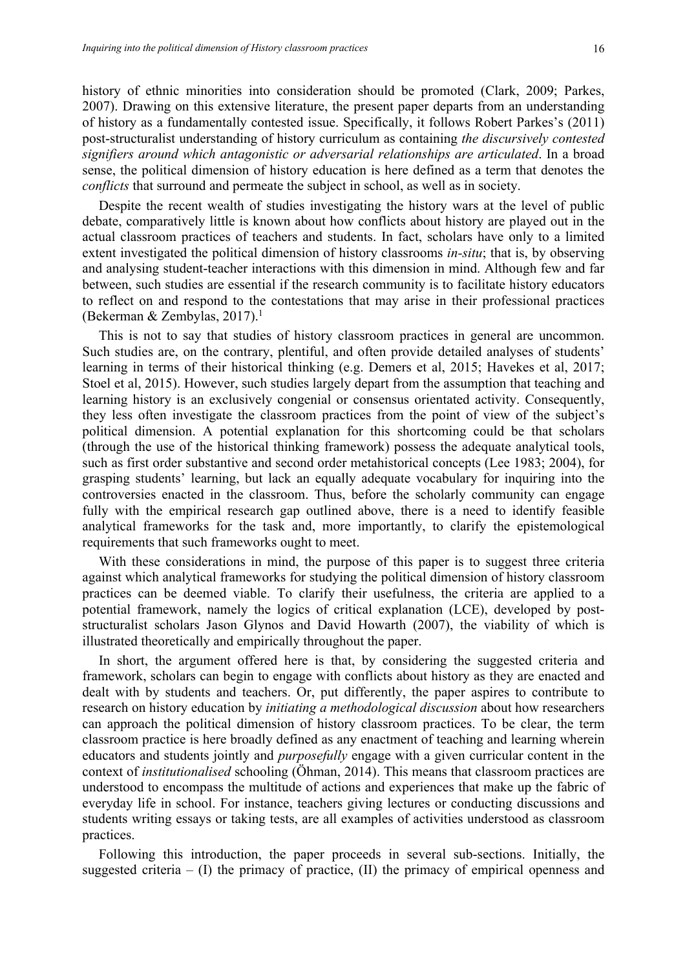history of ethnic minorities into consideration should be promoted (Clark, 2009; Parkes, 2007). Drawing on this extensive literature, the present paper departs from an understanding of history as a fundamentally contested issue. Specifically, it follows Robert Parkes's (2011) post-structuralist understanding of history curriculum as containing *the discursively contested signifiers around which antagonistic or adversarial relationships are articulated*. In a broad sense, the political dimension of history education is here defined as a term that denotes the *conflicts* that surround and permeate the subject in school, as well as in society.

Despite the recent wealth of studies investigating the history wars at the level of public debate, comparatively little is known about how conflicts about history are played out in the actual classroom practices of teachers and students. In fact, scholars have only to a limited extent investigated the political dimension of history classrooms *in-situ*; that is, by observing and analysing student-teacher interactions with this dimension in mind. Although few and far between, such studies are essential if the research community is to facilitate history educators to reflect on and respond to the contestations that may arise in their professional practices (Bekerman & Zembylas, 2017).<sup>1</sup>

This is not to say that studies of history classroom practices in general are uncommon. Such studies are, on the contrary, plentiful, and often provide detailed analyses of students' learning in terms of their historical thinking (e.g. Demers et al, 2015; Havekes et al, 2017; Stoel et al, 2015). However, such studies largely depart from the assumption that teaching and learning history is an exclusively congenial or consensus orientated activity. Consequently, they less often investigate the classroom practices from the point of view of the subject's political dimension. A potential explanation for this shortcoming could be that scholars (through the use of the historical thinking framework) possess the adequate analytical tools, such as first order substantive and second order metahistorical concepts (Lee 1983; 2004), for grasping students' learning, but lack an equally adequate vocabulary for inquiring into the controversies enacted in the classroom. Thus, before the scholarly community can engage fully with the empirical research gap outlined above, there is a need to identify feasible analytical frameworks for the task and, more importantly, to clarify the epistemological requirements that such frameworks ought to meet.

With these considerations in mind, the purpose of this paper is to suggest three criteria against which analytical frameworks for studying the political dimension of history classroom practices can be deemed viable. To clarify their usefulness, the criteria are applied to a potential framework, namely the logics of critical explanation (LCE), developed by poststructuralist scholars Jason Glynos and David Howarth (2007), the viability of which is illustrated theoretically and empirically throughout the paper.

In short, the argument offered here is that, by considering the suggested criteria and framework, scholars can begin to engage with conflicts about history as they are enacted and dealt with by students and teachers. Or, put differently, the paper aspires to contribute to research on history education by *initiating a methodological discussion* about how researchers can approach the political dimension of history classroom practices. To be clear, the term classroom practice is here broadly defined as any enactment of teaching and learning wherein educators and students jointly and *purposefully* engage with a given curricular content in the context of *institutionalised* schooling (Öhman, 2014). This means that classroom practices are understood to encompass the multitude of actions and experiences that make up the fabric of everyday life in school. For instance, teachers giving lectures or conducting discussions and students writing essays or taking tests, are all examples of activities understood as classroom practices.

Following this introduction, the paper proceeds in several sub-sections. Initially, the suggested criteria –  $(I)$  the primacy of practice,  $(II)$  the primacy of empirical openness and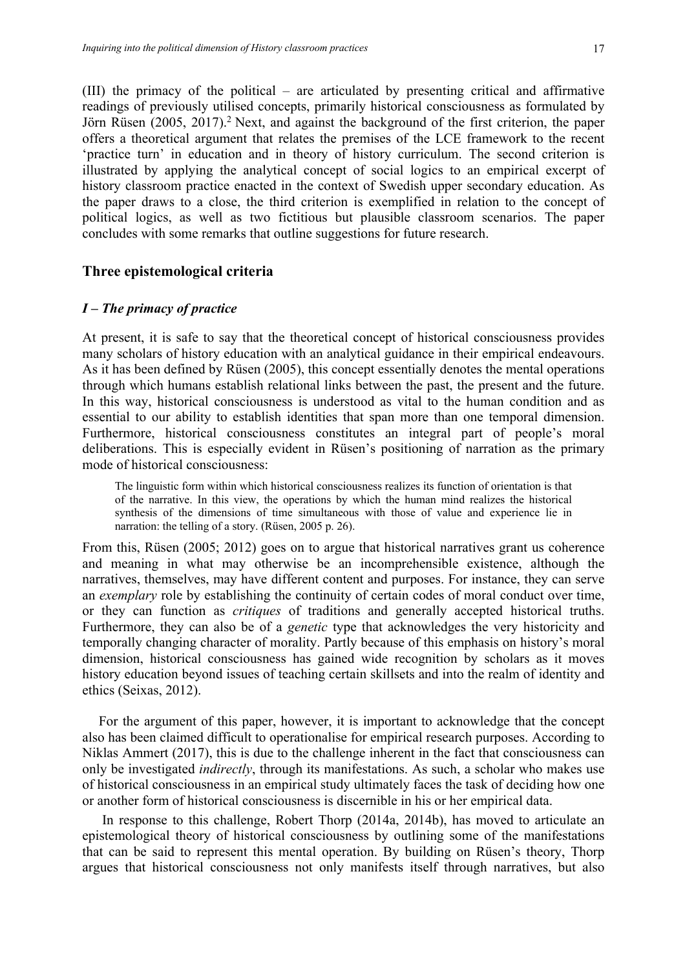(III) the primacy of the political – are articulated by presenting critical and affirmative readings of previously utilised concepts, primarily historical consciousness as formulated by Jörn Rüsen (2005, 2017).<sup>2</sup> Next, and against the background of the first criterion, the paper offers a theoretical argument that relates the premises of the LCE framework to the recent 'practice turn' in education and in theory of history curriculum. The second criterion is illustrated by applying the analytical concept of social logics to an empirical excerpt of history classroom practice enacted in the context of Swedish upper secondary education. As the paper draws to a close, the third criterion is exemplified in relation to the concept of political logics, as well as two fictitious but plausible classroom scenarios. The paper concludes with some remarks that outline suggestions for future research.

## **Three epistemological criteria**

# *I – The primacy of practice*

At present, it is safe to say that the theoretical concept of historical consciousness provides many scholars of history education with an analytical guidance in their empirical endeavours. As it has been defined by Rüsen (2005), this concept essentially denotes the mental operations through which humans establish relational links between the past, the present and the future. In this way, historical consciousness is understood as vital to the human condition and as essential to our ability to establish identities that span more than one temporal dimension. Furthermore, historical consciousness constitutes an integral part of people's moral deliberations. This is especially evident in Rüsen's positioning of narration as the primary mode of historical consciousness:

The linguistic form within which historical consciousness realizes its function of orientation is that of the narrative. In this view, the operations by which the human mind realizes the historical synthesis of the dimensions of time simultaneous with those of value and experience lie in narration: the telling of a story. (Rüsen, 2005 p. 26).

From this, Rüsen (2005; 2012) goes on to argue that historical narratives grant us coherence and meaning in what may otherwise be an incomprehensible existence, although the narratives, themselves, may have different content and purposes. For instance, they can serve an *exemplary* role by establishing the continuity of certain codes of moral conduct over time, or they can function as *critiques* of traditions and generally accepted historical truths. Furthermore, they can also be of a *genetic* type that acknowledges the very historicity and temporally changing character of morality. Partly because of this emphasis on history's moral dimension, historical consciousness has gained wide recognition by scholars as it moves history education beyond issues of teaching certain skillsets and into the realm of identity and ethics (Seixas, 2012).

For the argument of this paper, however, it is important to acknowledge that the concept also has been claimed difficult to operationalise for empirical research purposes. According to Niklas Ammert (2017), this is due to the challenge inherent in the fact that consciousness can only be investigated *indirectly*, through its manifestations. As such, a scholar who makes use of historical consciousness in an empirical study ultimately faces the task of deciding how one or another form of historical consciousness is discernible in his or her empirical data.

In response to this challenge, Robert Thorp (2014a, 2014b), has moved to articulate an epistemological theory of historical consciousness by outlining some of the manifestations that can be said to represent this mental operation. By building on Rüsen's theory, Thorp argues that historical consciousness not only manifests itself through narratives, but also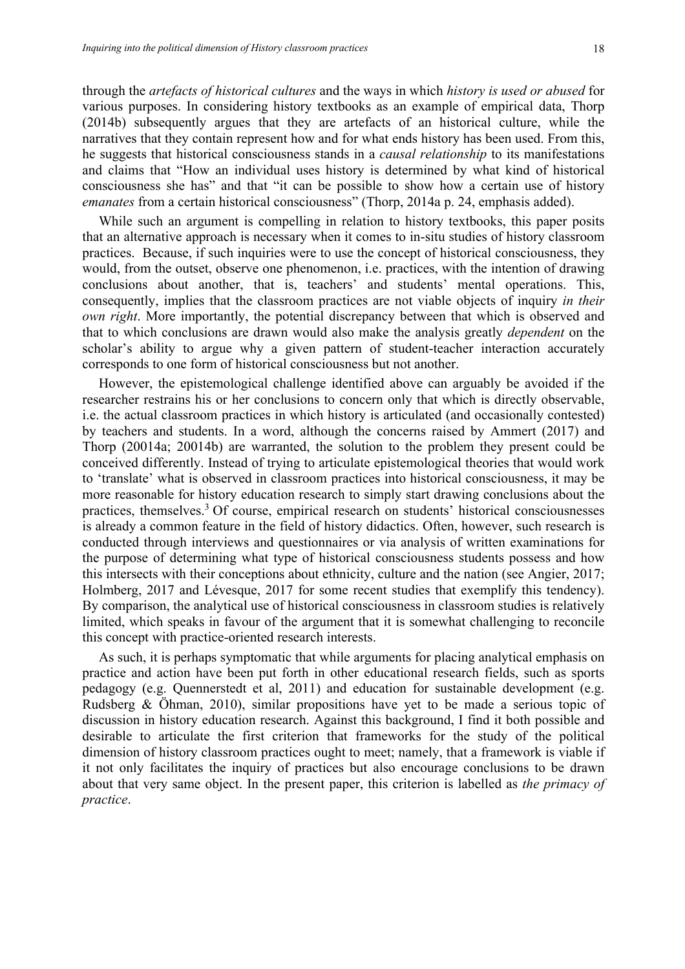through the *artefacts of historical cultures* and the ways in which *history is used or abused* for various purposes. In considering history textbooks as an example of empirical data, Thorp (2014b) subsequently argues that they are artefacts of an historical culture, while the narratives that they contain represent how and for what ends history has been used. From this, he suggests that historical consciousness stands in a *causal relationship* to its manifestations and claims that "How an individual uses history is determined by what kind of historical consciousness she has" and that "it can be possible to show how a certain use of history *emanates* from a certain historical consciousness" (Thorp, 2014a p. 24, emphasis added).

While such an argument is compelling in relation to history textbooks, this paper posits that an alternative approach is necessary when it comes to in-situ studies of history classroom practices. Because, if such inquiries were to use the concept of historical consciousness, they would, from the outset, observe one phenomenon, i.e. practices, with the intention of drawing conclusions about another, that is, teachers' and students' mental operations. This, consequently, implies that the classroom practices are not viable objects of inquiry *in their own right*. More importantly, the potential discrepancy between that which is observed and that to which conclusions are drawn would also make the analysis greatly *dependent* on the scholar's ability to argue why a given pattern of student-teacher interaction accurately corresponds to one form of historical consciousness but not another.

However, the epistemological challenge identified above can arguably be avoided if the researcher restrains his or her conclusions to concern only that which is directly observable, i.e. the actual classroom practices in which history is articulated (and occasionally contested) by teachers and students. In a word, although the concerns raised by Ammert (2017) and Thorp (20014a; 20014b) are warranted, the solution to the problem they present could be conceived differently. Instead of trying to articulate epistemological theories that would work to 'translate' what is observed in classroom practices into historical consciousness, it may be more reasonable for history education research to simply start drawing conclusions about the practices, themselves.3 Of course, empirical research on students' historical consciousnesses is already a common feature in the field of history didactics. Often, however, such research is conducted through interviews and questionnaires or via analysis of written examinations for the purpose of determining what type of historical consciousness students possess and how this intersects with their conceptions about ethnicity, culture and the nation (see Angier, 2017; Holmberg, 2017 and Lévesque, 2017 for some recent studies that exemplify this tendency). By comparison, the analytical use of historical consciousness in classroom studies is relatively limited, which speaks in favour of the argument that it is somewhat challenging to reconcile this concept with practice-oriented research interests.

As such, it is perhaps symptomatic that while arguments for placing analytical emphasis on practice and action have been put forth in other educational research fields, such as sports pedagogy (e.g. Quennerstedt et al, 2011) and education for sustainable development (e.g. Rudsberg & Öhman, 2010), similar propositions have yet to be made a serious topic of discussion in history education research. Against this background, I find it both possible and desirable to articulate the first criterion that frameworks for the study of the political dimension of history classroom practices ought to meet; namely, that a framework is viable if it not only facilitates the inquiry of practices but also encourage conclusions to be drawn about that very same object. In the present paper, this criterion is labelled as *the primacy of practice*.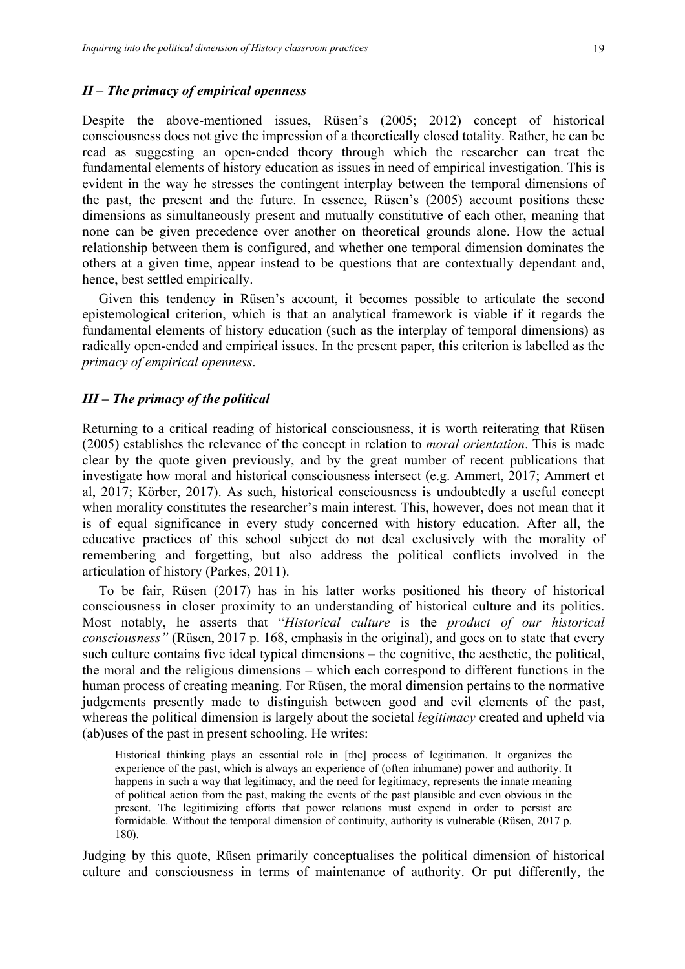# *II – The primacy of empirical openness*

Despite the above-mentioned issues, Rüsen's (2005; 2012) concept of historical consciousness does not give the impression of a theoretically closed totality. Rather, he can be read as suggesting an open-ended theory through which the researcher can treat the fundamental elements of history education as issues in need of empirical investigation. This is evident in the way he stresses the contingent interplay between the temporal dimensions of the past, the present and the future. In essence, Rüsen's (2005) account positions these dimensions as simultaneously present and mutually constitutive of each other, meaning that none can be given precedence over another on theoretical grounds alone. How the actual relationship between them is configured, and whether one temporal dimension dominates the others at a given time, appear instead to be questions that are contextually dependant and, hence, best settled empirically.

Given this tendency in Rüsen's account, it becomes possible to articulate the second epistemological criterion, which is that an analytical framework is viable if it regards the fundamental elements of history education (such as the interplay of temporal dimensions) as radically open-ended and empirical issues. In the present paper, this criterion is labelled as the *primacy of empirical openness*.

## *III – The primacy of the political*

Returning to a critical reading of historical consciousness, it is worth reiterating that Rüsen (2005) establishes the relevance of the concept in relation to *moral orientation*. This is made clear by the quote given previously, and by the great number of recent publications that investigate how moral and historical consciousness intersect (e.g. Ammert, 2017; Ammert et al, 2017; Körber, 2017). As such, historical consciousness is undoubtedly a useful concept when morality constitutes the researcher's main interest. This, however, does not mean that it is of equal significance in every study concerned with history education. After all, the educative practices of this school subject do not deal exclusively with the morality of remembering and forgetting, but also address the political conflicts involved in the articulation of history (Parkes, 2011).

To be fair, Rüsen (2017) has in his latter works positioned his theory of historical consciousness in closer proximity to an understanding of historical culture and its politics. Most notably, he asserts that "*Historical culture* is the *product of our historical consciousness"* (Rüsen, 2017 p. 168, emphasis in the original), and goes on to state that every such culture contains five ideal typical dimensions – the cognitive, the aesthetic, the political, the moral and the religious dimensions – which each correspond to different functions in the human process of creating meaning. For Rüsen, the moral dimension pertains to the normative judgements presently made to distinguish between good and evil elements of the past, whereas the political dimension is largely about the societal *legitimacy* created and upheld via (ab)uses of the past in present schooling. He writes:

Historical thinking plays an essential role in [the] process of legitimation. It organizes the experience of the past, which is always an experience of (often inhumane) power and authority. It happens in such a way that legitimacy, and the need for legitimacy, represents the innate meaning of political action from the past, making the events of the past plausible and even obvious in the present. The legitimizing efforts that power relations must expend in order to persist are formidable. Without the temporal dimension of continuity, authority is vulnerable (Rüsen, 2017 p. 180).

Judging by this quote, Rüsen primarily conceptualises the political dimension of historical culture and consciousness in terms of maintenance of authority. Or put differently, the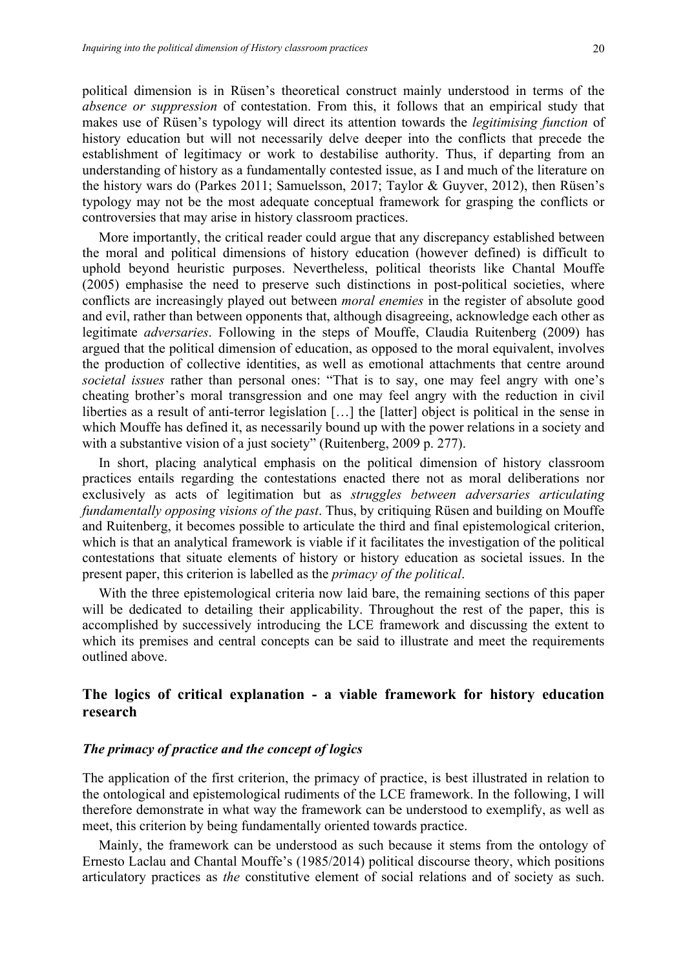political dimension is in Rüsen's theoretical construct mainly understood in terms of the *absence or suppression* of contestation. From this, it follows that an empirical study that makes use of Rüsen's typology will direct its attention towards the *legitimising function* of history education but will not necessarily delve deeper into the conflicts that precede the establishment of legitimacy or work to destabilise authority. Thus, if departing from an understanding of history as a fundamentally contested issue, as I and much of the literature on the history wars do (Parkes 2011; Samuelsson, 2017; Taylor & Guyver, 2012), then Rüsen's typology may not be the most adequate conceptual framework for grasping the conflicts or controversies that may arise in history classroom practices.

More importantly, the critical reader could argue that any discrepancy established between the moral and political dimensions of history education (however defined) is difficult to uphold beyond heuristic purposes. Nevertheless, political theorists like Chantal Mouffe (2005) emphasise the need to preserve such distinctions in post-political societies, where conflicts are increasingly played out between *moral enemies* in the register of absolute good and evil, rather than between opponents that, although disagreeing, acknowledge each other as legitimate *adversaries*. Following in the steps of Mouffe, Claudia Ruitenberg (2009) has argued that the political dimension of education, as opposed to the moral equivalent, involves the production of collective identities, as well as emotional attachments that centre around *societal issues* rather than personal ones: "That is to say, one may feel angry with one's cheating brother's moral transgression and one may feel angry with the reduction in civil liberties as a result of anti-terror legislation […] the [latter] object is political in the sense in which Mouffe has defined it, as necessarily bound up with the power relations in a society and with a substantive vision of a just society" (Ruitenberg, 2009 p. 277).

In short, placing analytical emphasis on the political dimension of history classroom practices entails regarding the contestations enacted there not as moral deliberations nor exclusively as acts of legitimation but as *struggles between adversaries articulating fundamentally opposing visions of the past*. Thus, by critiquing Rüsen and building on Mouffe and Ruitenberg, it becomes possible to articulate the third and final epistemological criterion, which is that an analytical framework is viable if it facilitates the investigation of the political contestations that situate elements of history or history education as societal issues. In the present paper, this criterion is labelled as the *primacy of the political*.

With the three epistemological criteria now laid bare, the remaining sections of this paper will be dedicated to detailing their applicability. Throughout the rest of the paper, this is accomplished by successively introducing the LCE framework and discussing the extent to which its premises and central concepts can be said to illustrate and meet the requirements outlined above.

# **The logics of critical explanation - a viable framework for history education research**

# *The primacy of practice and the concept of logics*

The application of the first criterion, the primacy of practice, is best illustrated in relation to the ontological and epistemological rudiments of the LCE framework. In the following, I will therefore demonstrate in what way the framework can be understood to exemplify, as well as meet, this criterion by being fundamentally oriented towards practice.

Mainly, the framework can be understood as such because it stems from the ontology of Ernesto Laclau and Chantal Mouffe's (1985/2014) political discourse theory, which positions articulatory practices as *the* constitutive element of social relations and of society as such.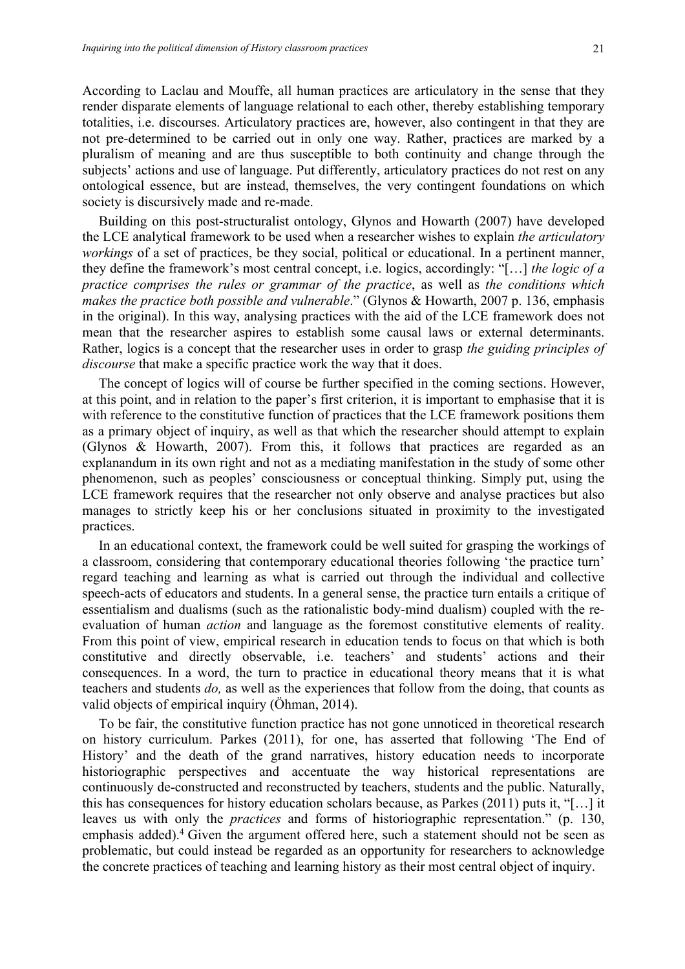According to Laclau and Mouffe, all human practices are articulatory in the sense that they render disparate elements of language relational to each other, thereby establishing temporary totalities, i.e. discourses. Articulatory practices are, however, also contingent in that they are not pre-determined to be carried out in only one way. Rather, practices are marked by a pluralism of meaning and are thus susceptible to both continuity and change through the subjects' actions and use of language. Put differently, articulatory practices do not rest on any ontological essence, but are instead, themselves, the very contingent foundations on which society is discursively made and re-made.

Building on this post-structuralist ontology, Glynos and Howarth (2007) have developed the LCE analytical framework to be used when a researcher wishes to explain *the articulatory workings* of a set of practices, be they social, political or educational. In a pertinent manner, they define the framework's most central concept, i.e. logics, accordingly: "[…] *the logic of a practice comprises the rules or grammar of the practice*, as well as *the conditions which makes the practice both possible and vulnerable*." (Glynos & Howarth, 2007 p. 136, emphasis in the original). In this way, analysing practices with the aid of the LCE framework does not mean that the researcher aspires to establish some causal laws or external determinants. Rather, logics is a concept that the researcher uses in order to grasp *the guiding principles of discourse* that make a specific practice work the way that it does.

The concept of logics will of course be further specified in the coming sections. However, at this point, and in relation to the paper's first criterion, it is important to emphasise that it is with reference to the constitutive function of practices that the LCE framework positions them as a primary object of inquiry, as well as that which the researcher should attempt to explain (Glynos & Howarth, 2007). From this, it follows that practices are regarded as an explanandum in its own right and not as a mediating manifestation in the study of some other phenomenon, such as peoples' consciousness or conceptual thinking. Simply put, using the LCE framework requires that the researcher not only observe and analyse practices but also manages to strictly keep his or her conclusions situated in proximity to the investigated practices.

In an educational context, the framework could be well suited for grasping the workings of a classroom, considering that contemporary educational theories following 'the practice turn' regard teaching and learning as what is carried out through the individual and collective speech-acts of educators and students. In a general sense, the practice turn entails a critique of essentialism and dualisms (such as the rationalistic body-mind dualism) coupled with the reevaluation of human *action* and language as the foremost constitutive elements of reality. From this point of view, empirical research in education tends to focus on that which is both constitutive and directly observable, i.e. teachers' and students' actions and their consequences. In a word, the turn to practice in educational theory means that it is what teachers and students *do,* as well as the experiences that follow from the doing, that counts as valid objects of empirical inquiry (Öhman, 2014).

To be fair, the constitutive function practice has not gone unnoticed in theoretical research on history curriculum. Parkes (2011), for one, has asserted that following 'The End of History' and the death of the grand narratives, history education needs to incorporate historiographic perspectives and accentuate the way historical representations are continuously de-constructed and reconstructed by teachers, students and the public. Naturally, this has consequences for history education scholars because, as Parkes (2011) puts it, "[…] it leaves us with only the *practices* and forms of historiographic representation." (p. 130, emphasis added).<sup>4</sup> Given the argument offered here, such a statement should not be seen as problematic, but could instead be regarded as an opportunity for researchers to acknowledge the concrete practices of teaching and learning history as their most central object of inquiry.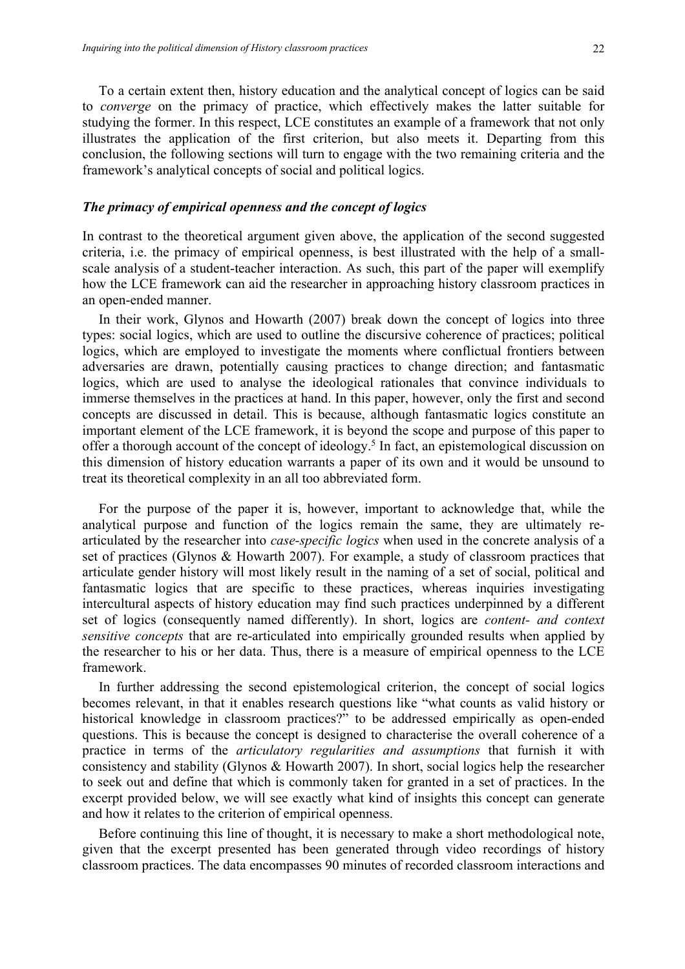To a certain extent then, history education and the analytical concept of logics can be said to *converge* on the primacy of practice, which effectively makes the latter suitable for studying the former. In this respect, LCE constitutes an example of a framework that not only illustrates the application of the first criterion, but also meets it. Departing from this conclusion, the following sections will turn to engage with the two remaining criteria and the framework's analytical concepts of social and political logics.

## *The primacy of empirical openness and the concept of logics*

In contrast to the theoretical argument given above, the application of the second suggested criteria, i.e. the primacy of empirical openness, is best illustrated with the help of a smallscale analysis of a student-teacher interaction. As such, this part of the paper will exemplify how the LCE framework can aid the researcher in approaching history classroom practices in an open-ended manner.

In their work, Glynos and Howarth (2007) break down the concept of logics into three types: social logics, which are used to outline the discursive coherence of practices; political logics, which are employed to investigate the moments where conflictual frontiers between adversaries are drawn, potentially causing practices to change direction; and fantasmatic logics, which are used to analyse the ideological rationales that convince individuals to immerse themselves in the practices at hand. In this paper, however, only the first and second concepts are discussed in detail. This is because, although fantasmatic logics constitute an important element of the LCE framework, it is beyond the scope and purpose of this paper to offer a thorough account of the concept of ideology.<sup>5</sup> In fact, an epistemological discussion on this dimension of history education warrants a paper of its own and it would be unsound to treat its theoretical complexity in an all too abbreviated form.

For the purpose of the paper it is, however, important to acknowledge that, while the analytical purpose and function of the logics remain the same, they are ultimately rearticulated by the researcher into *case-specific logics* when used in the concrete analysis of a set of practices (Glynos & Howarth 2007). For example, a study of classroom practices that articulate gender history will most likely result in the naming of a set of social, political and fantasmatic logics that are specific to these practices, whereas inquiries investigating intercultural aspects of history education may find such practices underpinned by a different set of logics (consequently named differently). In short, logics are *content- and context sensitive concepts* that are re-articulated into empirically grounded results when applied by the researcher to his or her data. Thus, there is a measure of empirical openness to the LCE framework.

In further addressing the second epistemological criterion, the concept of social logics becomes relevant, in that it enables research questions like "what counts as valid history or historical knowledge in classroom practices?" to be addressed empirically as open-ended questions. This is because the concept is designed to characterise the overall coherence of a practice in terms of the *articulatory regularities and assumptions* that furnish it with consistency and stability (Glynos & Howarth 2007). In short, social logics help the researcher to seek out and define that which is commonly taken for granted in a set of practices. In the excerpt provided below, we will see exactly what kind of insights this concept can generate and how it relates to the criterion of empirical openness.

Before continuing this line of thought, it is necessary to make a short methodological note, given that the excerpt presented has been generated through video recordings of history classroom practices. The data encompasses 90 minutes of recorded classroom interactions and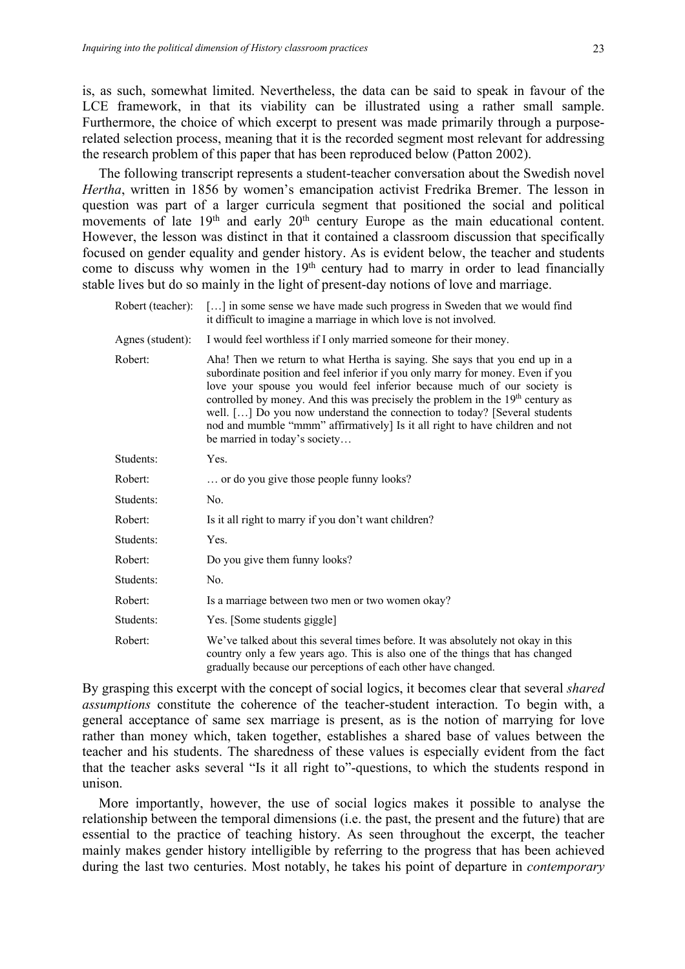is, as such, somewhat limited. Nevertheless, the data can be said to speak in favour of the LCE framework, in that its viability can be illustrated using a rather small sample. Furthermore, the choice of which excerpt to present was made primarily through a purposerelated selection process, meaning that it is the recorded segment most relevant for addressing the research problem of this paper that has been reproduced below (Patton 2002).

The following transcript represents a student-teacher conversation about the Swedish novel *Hertha*, written in 1856 by women's emancipation activist Fredrika Bremer. The lesson in question was part of a larger curricula segment that positioned the social and political movements of late 19<sup>th</sup> and early 20<sup>th</sup> century Europe as the main educational content. However, the lesson was distinct in that it contained a classroom discussion that specifically focused on gender equality and gender history. As is evident below, the teacher and students come to discuss why women in the 19<sup>th</sup> century had to marry in order to lead financially stable lives but do so mainly in the light of present-day notions of love and marriage.

| Robert (teacher): | [] in some sense we have made such progress in Sweden that we would find<br>it difficult to imagine a marriage in which love is not involved.                                                                                                                                                                                                                                                                                                                                                                               |
|-------------------|-----------------------------------------------------------------------------------------------------------------------------------------------------------------------------------------------------------------------------------------------------------------------------------------------------------------------------------------------------------------------------------------------------------------------------------------------------------------------------------------------------------------------------|
| Agnes (student):  | I would feel worthless if I only married someone for their money.                                                                                                                                                                                                                                                                                                                                                                                                                                                           |
| Robert:           | Aha! Then we return to what Hertha is saying. She says that you end up in a<br>subordinate position and feel inferior if you only marry for money. Even if you<br>love your spouse you would feel inferior because much of our society is<br>controlled by money. And this was precisely the problem in the $19th$ century as<br>well. [] Do you now understand the connection to today? [Several students<br>nod and mumble "mmm" affirmatively] Is it all right to have children and not<br>be married in today's society |
| Students:         | Yes.                                                                                                                                                                                                                                                                                                                                                                                                                                                                                                                        |
| Robert:           | or do you give those people funny looks?                                                                                                                                                                                                                                                                                                                                                                                                                                                                                    |
| Students:         | No.                                                                                                                                                                                                                                                                                                                                                                                                                                                                                                                         |
| Robert:           | Is it all right to marry if you don't want children?                                                                                                                                                                                                                                                                                                                                                                                                                                                                        |
| Students:         | Yes.                                                                                                                                                                                                                                                                                                                                                                                                                                                                                                                        |
| Robert:           | Do you give them funny looks?                                                                                                                                                                                                                                                                                                                                                                                                                                                                                               |
| Students:         | No.                                                                                                                                                                                                                                                                                                                                                                                                                                                                                                                         |
| Robert:           | Is a marriage between two men or two women okay?                                                                                                                                                                                                                                                                                                                                                                                                                                                                            |
| Students:         | Yes. [Some students giggle]                                                                                                                                                                                                                                                                                                                                                                                                                                                                                                 |
| Robert:           | We've talked about this several times before. It was absolutely not okay in this<br>country only a few years ago. This is also one of the things that has changed<br>gradually because our perceptions of each other have changed.                                                                                                                                                                                                                                                                                          |

By grasping this excerpt with the concept of social logics, it becomes clear that several *shared assumptions* constitute the coherence of the teacher-student interaction. To begin with, a general acceptance of same sex marriage is present, as is the notion of marrying for love rather than money which, taken together, establishes a shared base of values between the teacher and his students. The sharedness of these values is especially evident from the fact that the teacher asks several "Is it all right to"-questions, to which the students respond in unison.

More importantly, however, the use of social logics makes it possible to analyse the relationship between the temporal dimensions (i.e. the past, the present and the future) that are essential to the practice of teaching history. As seen throughout the excerpt, the teacher mainly makes gender history intelligible by referring to the progress that has been achieved during the last two centuries. Most notably, he takes his point of departure in *contemporary*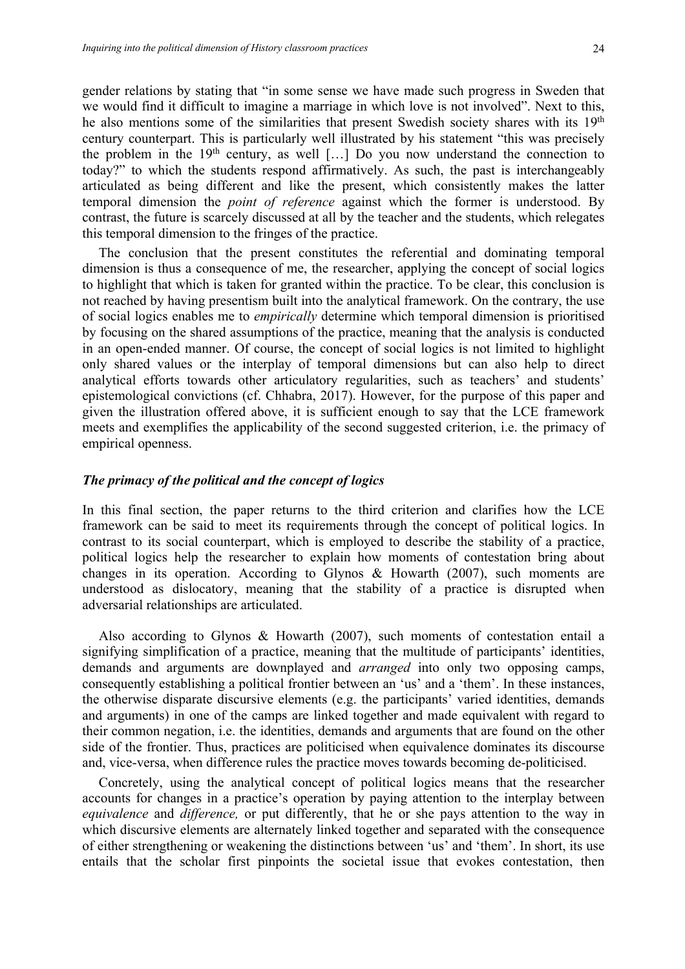gender relations by stating that "in some sense we have made such progress in Sweden that we would find it difficult to imagine a marriage in which love is not involved". Next to this, he also mentions some of the similarities that present Swedish society shares with its 19<sup>th</sup> century counterpart. This is particularly well illustrated by his statement "this was precisely the problem in the  $19<sup>th</sup>$  century, as well [...] Do you now understand the connection to today?" to which the students respond affirmatively. As such, the past is interchangeably articulated as being different and like the present, which consistently makes the latter temporal dimension the *point of reference* against which the former is understood. By contrast, the future is scarcely discussed at all by the teacher and the students, which relegates this temporal dimension to the fringes of the practice.

The conclusion that the present constitutes the referential and dominating temporal dimension is thus a consequence of me, the researcher, applying the concept of social logics to highlight that which is taken for granted within the practice. To be clear, this conclusion is not reached by having presentism built into the analytical framework. On the contrary, the use of social logics enables me to *empirically* determine which temporal dimension is prioritised by focusing on the shared assumptions of the practice, meaning that the analysis is conducted in an open-ended manner. Of course, the concept of social logics is not limited to highlight only shared values or the interplay of temporal dimensions but can also help to direct analytical efforts towards other articulatory regularities, such as teachers' and students' epistemological convictions (cf. Chhabra, 2017). However, for the purpose of this paper and given the illustration offered above, it is sufficient enough to say that the LCE framework meets and exemplifies the applicability of the second suggested criterion, i.e. the primacy of empirical openness.

#### *The primacy of the political and the concept of logics*

In this final section, the paper returns to the third criterion and clarifies how the LCE framework can be said to meet its requirements through the concept of political logics. In contrast to its social counterpart, which is employed to describe the stability of a practice, political logics help the researcher to explain how moments of contestation bring about changes in its operation. According to Glynos & Howarth (2007), such moments are understood as dislocatory, meaning that the stability of a practice is disrupted when adversarial relationships are articulated.

Also according to Glynos & Howarth (2007), such moments of contestation entail a signifying simplification of a practice, meaning that the multitude of participants' identities, demands and arguments are downplayed and *arranged* into only two opposing camps, consequently establishing a political frontier between an 'us' and a 'them'. In these instances, the otherwise disparate discursive elements (e.g. the participants' varied identities, demands and arguments) in one of the camps are linked together and made equivalent with regard to their common negation, i.e. the identities, demands and arguments that are found on the other side of the frontier. Thus, practices are politicised when equivalence dominates its discourse and, vice-versa, when difference rules the practice moves towards becoming de-politicised.

Concretely, using the analytical concept of political logics means that the researcher accounts for changes in a practice's operation by paying attention to the interplay between *equivalence* and *difference,* or put differently, that he or she pays attention to the way in which discursive elements are alternately linked together and separated with the consequence of either strengthening or weakening the distinctions between 'us' and 'them'. In short, its use entails that the scholar first pinpoints the societal issue that evokes contestation, then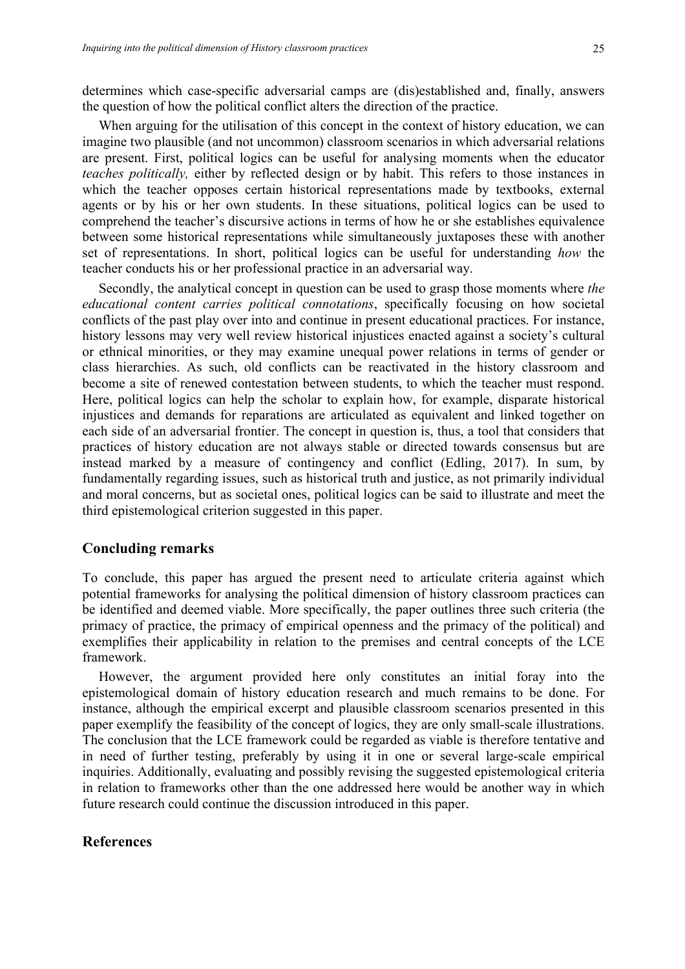determines which case-specific adversarial camps are (dis)established and, finally, answers the question of how the political conflict alters the direction of the practice.

When arguing for the utilisation of this concept in the context of history education, we can imagine two plausible (and not uncommon) classroom scenarios in which adversarial relations are present. First, political logics can be useful for analysing moments when the educator *teaches politically,* either by reflected design or by habit. This refers to those instances in which the teacher opposes certain historical representations made by textbooks, external agents or by his or her own students. In these situations, political logics can be used to comprehend the teacher's discursive actions in terms of how he or she establishes equivalence between some historical representations while simultaneously juxtaposes these with another set of representations. In short, political logics can be useful for understanding *how* the teacher conducts his or her professional practice in an adversarial way.

Secondly, the analytical concept in question can be used to grasp those moments where *the educational content carries political connotations*, specifically focusing on how societal conflicts of the past play over into and continue in present educational practices. For instance, history lessons may very well review historical injustices enacted against a society's cultural or ethnical minorities, or they may examine unequal power relations in terms of gender or class hierarchies. As such, old conflicts can be reactivated in the history classroom and become a site of renewed contestation between students, to which the teacher must respond. Here, political logics can help the scholar to explain how, for example, disparate historical injustices and demands for reparations are articulated as equivalent and linked together on each side of an adversarial frontier. The concept in question is, thus, a tool that considers that practices of history education are not always stable or directed towards consensus but are instead marked by a measure of contingency and conflict (Edling, 2017). In sum, by fundamentally regarding issues, such as historical truth and justice, as not primarily individual and moral concerns, but as societal ones, political logics can be said to illustrate and meet the third epistemological criterion suggested in this paper.

#### **Concluding remarks**

To conclude, this paper has argued the present need to articulate criteria against which potential frameworks for analysing the political dimension of history classroom practices can be identified and deemed viable. More specifically, the paper outlines three such criteria (the primacy of practice, the primacy of empirical openness and the primacy of the political) and exemplifies their applicability in relation to the premises and central concepts of the LCE framework.

However, the argument provided here only constitutes an initial foray into the epistemological domain of history education research and much remains to be done. For instance, although the empirical excerpt and plausible classroom scenarios presented in this paper exemplify the feasibility of the concept of logics, they are only small-scale illustrations. The conclusion that the LCE framework could be regarded as viable is therefore tentative and in need of further testing, preferably by using it in one or several large-scale empirical inquiries. Additionally, evaluating and possibly revising the suggested epistemological criteria in relation to frameworks other than the one addressed here would be another way in which future research could continue the discussion introduced in this paper.

## **References**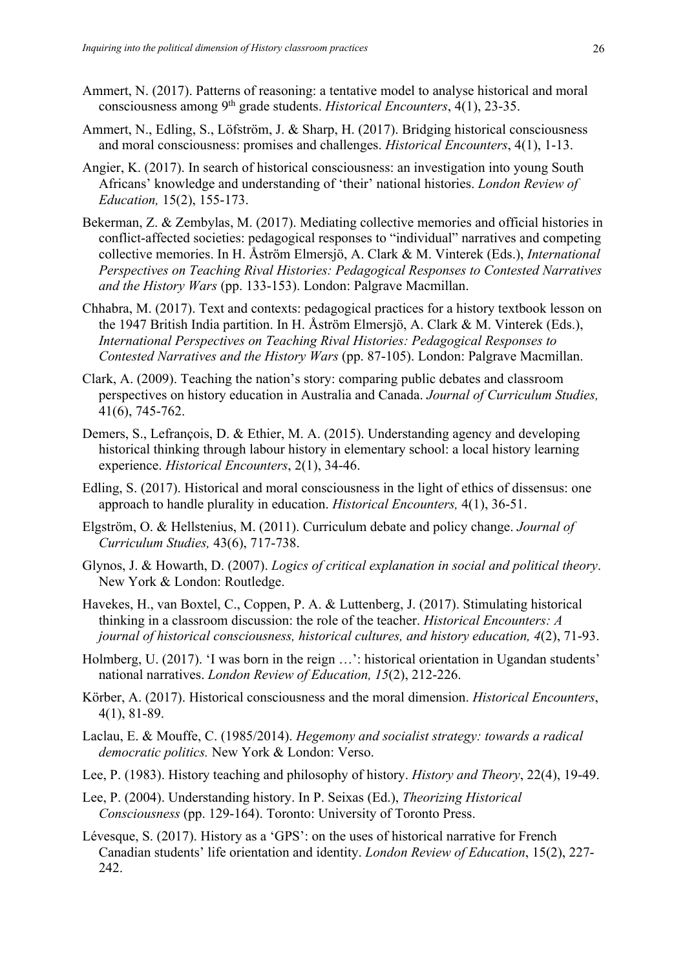- Ammert, N. (2017). Patterns of reasoning: a tentative model to analyse historical and moral consciousness among 9th grade students. *Historical Encounters*, 4(1), 23-35.
- Ammert, N., Edling, S., Löfström, J. & Sharp, H. (2017). Bridging historical consciousness and moral consciousness: promises and challenges. *Historical Encounters*, 4(1), 1-13.
- Angier, K. (2017). In search of historical consciousness: an investigation into young South Africans' knowledge and understanding of 'their' national histories. *London Review of Education,* 15(2), 155-173.
- Bekerman, Z. & Zembylas, M. (2017). Mediating collective memories and official histories in conflict-affected societies: pedagogical responses to "individual" narratives and competing collective memories. In H. Åström Elmersjö, A. Clark & M. Vinterek (Eds.), *International Perspectives on Teaching Rival Histories: Pedagogical Responses to Contested Narratives and the History Wars* (pp. 133-153). London: Palgrave Macmillan.
- Chhabra, M. (2017). Text and contexts: pedagogical practices for a history textbook lesson on the 1947 British India partition. In H. Åström Elmersjö, A. Clark & M. Vinterek (Eds.), *International Perspectives on Teaching Rival Histories: Pedagogical Responses to Contested Narratives and the History Wars* (pp. 87-105). London: Palgrave Macmillan.
- Clark, A. (2009). Teaching the nation's story: comparing public debates and classroom perspectives on history education in Australia and Canada. *Journal of Curriculum Studies,* 41(6), 745-762.
- Demers, S., Lefrançois, D. & Ethier, M. A. (2015). Understanding agency and developing historical thinking through labour history in elementary school: a local history learning experience. *Historical Encounters*, 2(1), 34-46.
- Edling, S. (2017). Historical and moral consciousness in the light of ethics of dissensus: one approach to handle plurality in education. *Historical Encounters,* 4(1), 36-51.
- Elgström, O. & Hellstenius, M. (2011). Curriculum debate and policy change. *Journal of Curriculum Studies,* 43(6), 717-738.
- Glynos, J. & Howarth, D. (2007). *Logics of critical explanation in social and political theory*. New York & London: Routledge.
- Havekes, H., van Boxtel, C., Coppen, P. A. & Luttenberg, J. (2017). Stimulating historical thinking in a classroom discussion: the role of the teacher. *Historical Encounters: A journal of historical consciousness, historical cultures, and history education, 4*(2), 71-93.
- Holmberg, U. (2017). 'I was born in the reign ...': historical orientation in Ugandan students' national narratives. *London Review of Education, 15*(2), 212-226.
- Körber, A. (2017). Historical consciousness and the moral dimension. *Historical Encounters*, 4(1), 81-89.
- Laclau, E. & Mouffe, C. (1985/2014). *Hegemony and socialist strategy: towards a radical democratic politics.* New York & London: Verso.
- Lee, P. (1983). History teaching and philosophy of history. *History and Theory*, 22(4), 19-49.
- Lee, P. (2004). Understanding history. In P. Seixas (Ed.), *Theorizing Historical Consciousness* (pp. 129-164). Toronto: University of Toronto Press.
- Lévesque, S. (2017). History as a 'GPS': on the uses of historical narrative for French Canadian students' life orientation and identity. *London Review of Education*, 15(2), 227- 242.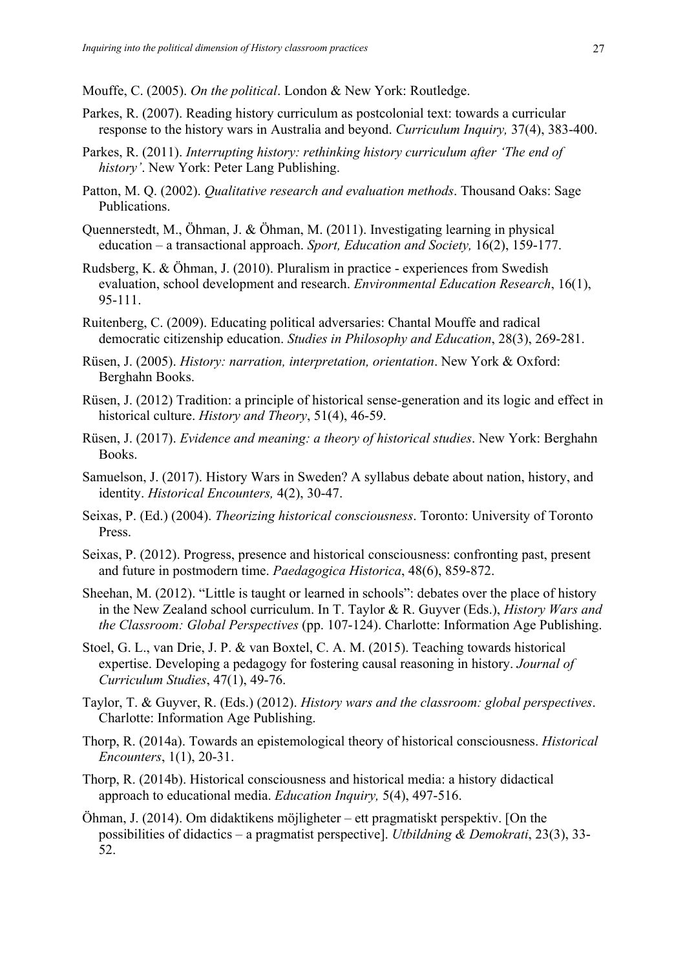Mouffe, C. (2005). *On the political*. London & New York: Routledge.

- Parkes, R. (2007). Reading history curriculum as postcolonial text: towards a curricular response to the history wars in Australia and beyond. *Curriculum Inquiry,* 37(4), 383-400.
- Parkes, R. (2011). *Interrupting history: rethinking history curriculum after 'The end of history'*. New York: Peter Lang Publishing.
- Patton, M. Q. (2002). *Qualitative research and evaluation methods*. Thousand Oaks: Sage Publications.
- Quennerstedt, M., Öhman, J. & Öhman, M. (2011). Investigating learning in physical education – a transactional approach. *Sport, Education and Society,* 16(2), 159-177.
- Rudsberg, K. & Öhman, J. (2010). Pluralism in practice experiences from Swedish evaluation, school development and research. *Environmental Education Research*, 16(1), 95-111.
- Ruitenberg, C. (2009). Educating political adversaries: Chantal Mouffe and radical democratic citizenship education. *Studies in Philosophy and Education*, 28(3), 269-281.
- Rüsen, J. (2005). *History: narration, interpretation, orientation*. New York & Oxford: Berghahn Books.
- Rüsen, J. (2012) Tradition: a principle of historical sense-generation and its logic and effect in historical culture. *History and Theory*, 51(4), 46-59.
- Rüsen, J. (2017). *Evidence and meaning: a theory of historical studies*. New York: Berghahn Books.
- Samuelson, J. (2017). History Wars in Sweden? A syllabus debate about nation, history, and identity. *Historical Encounters,* 4(2), 30-47.
- Seixas, P. (Ed.) (2004). *Theorizing historical consciousness*. Toronto: University of Toronto Press.
- Seixas, P. (2012). Progress, presence and historical consciousness: confronting past, present and future in postmodern time. *Paedagogica Historica*, 48(6), 859-872.
- Sheehan, M. (2012). "Little is taught or learned in schools": debates over the place of history in the New Zealand school curriculum. In T. Taylor & R. Guyver (Eds.), *History Wars and the Classroom: Global Perspectives* (pp. 107-124). Charlotte: Information Age Publishing.
- Stoel, G. L., van Drie, J. P. & van Boxtel, C. A. M. (2015). Teaching towards historical expertise. Developing a pedagogy for fostering causal reasoning in history. *Journal of Curriculum Studies*, 47(1), 49-76.
- Taylor, T. & Guyver, R. (Eds.) (2012). *History wars and the classroom: global perspectives*. Charlotte: Information Age Publishing.
- Thorp, R. (2014a). Towards an epistemological theory of historical consciousness. *Historical Encounters*, 1(1), 20-31.
- Thorp, R. (2014b). Historical consciousness and historical media: a history didactical approach to educational media. *Education Inquiry,* 5(4), 497-516.
- Öhman, J. (2014). Om didaktikens möjligheter ett pragmatiskt perspektiv. [On the possibilities of didactics – a pragmatist perspective]. *Utbildning & Demokrati*, 23(3), 33- 52.